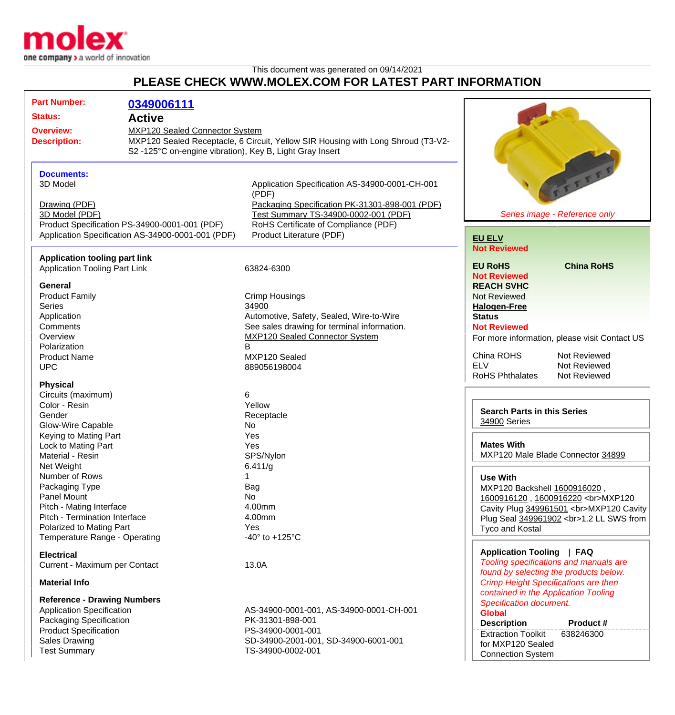

## This document was generated on 09/14/2021 **PLEASE CHECK WWW.MOLEX.COM FOR LATEST PART INFORMATION**

| <b>Part Number:</b>                  | 0349006111                                               |                                                                                  |                                               |
|--------------------------------------|----------------------------------------------------------|----------------------------------------------------------------------------------|-----------------------------------------------|
|                                      |                                                          |                                                                                  |                                               |
| <b>Status:</b><br><b>Active</b>      |                                                          |                                                                                  |                                               |
| <b>Overview:</b>                     | MXP120 Sealed Connector System                           |                                                                                  |                                               |
| <b>Description:</b>                  |                                                          | MXP120 Sealed Receptacle, 6 Circuit, Yellow SIR Housing with Long Shroud (T3-V2- |                                               |
|                                      | S2 -125°C on-engine vibration), Key B, Light Gray Insert |                                                                                  |                                               |
|                                      |                                                          |                                                                                  |                                               |
| <b>Documents:</b>                    |                                                          |                                                                                  | VITTTE                                        |
| 3D Model                             |                                                          | Application Specification AS-34900-0001-CH-001                                   |                                               |
|                                      |                                                          | (PDF)                                                                            |                                               |
| Drawing (PDF)                        |                                                          | Packaging Specification PK-31301-898-001 (PDF)                                   |                                               |
| 3D Model (PDF)                       |                                                          | Test Summary TS-34900-0002-001 (PDF)                                             | Series image - Reference only                 |
|                                      | Product Specification PS-34900-0001-001 (PDF)            | RoHS Certificate of Compliance (PDF)                                             |                                               |
|                                      | Application Specification AS-34900-0001-001 (PDF)        | Product Literature (PDF)                                                         | <b>EU ELV</b>                                 |
|                                      |                                                          |                                                                                  | <b>Not Reviewed</b>                           |
| <b>Application tooling part link</b> |                                                          |                                                                                  |                                               |
| <b>Application Tooling Part Link</b> |                                                          | 63824-6300                                                                       | <b>EU RoHS</b><br><b>China RoHS</b>           |
|                                      |                                                          |                                                                                  | <b>Not Reviewed</b>                           |
| <b>General</b>                       |                                                          |                                                                                  | <b>REACH SVHC</b>                             |
| <b>Product Family</b>                |                                                          | <b>Crimp Housings</b>                                                            | <b>Not Reviewed</b>                           |
| <b>Series</b>                        |                                                          | 34900                                                                            | <b>Halogen-Free</b>                           |
| Application                          |                                                          | Automotive, Safety, Sealed, Wire-to-Wire                                         | <b>Status</b>                                 |
| Comments                             |                                                          | See sales drawing for terminal information.                                      | <b>Not Reviewed</b>                           |
| Overview                             |                                                          | <b>MXP120 Sealed Connector System</b>                                            | For more information, please visit Contact US |
| Polarization                         |                                                          | B                                                                                |                                               |
| <b>Product Name</b>                  |                                                          | MXP120 Sealed                                                                    | China ROHS<br>Not Reviewed                    |
| <b>UPC</b>                           |                                                          | 889056198004                                                                     | <b>ELV</b><br>Not Reviewed                    |
|                                      |                                                          |                                                                                  | <b>RoHS Phthalates</b><br>Not Reviewed        |
| <b>Physical</b>                      |                                                          |                                                                                  |                                               |
| Circuits (maximum)                   |                                                          | 6                                                                                |                                               |
| Color - Resin                        |                                                          | Yellow                                                                           | <b>Search Parts in this Series</b>            |
| Gender                               |                                                          | Receptacle                                                                       | 34900 Series                                  |
| <b>Glow-Wire Capable</b>             |                                                          | No                                                                               |                                               |
| Keying to Mating Part                |                                                          | Yes                                                                              |                                               |
| Lock to Mating Part                  |                                                          | Yes                                                                              | <b>Mates With</b>                             |
| Material - Resin                     |                                                          | SPS/Nylon                                                                        | MXP120 Male Blade Connector 34899             |
| Net Weight                           |                                                          | 6.411/g                                                                          |                                               |
| Number of Rows                       |                                                          | 1                                                                                | <b>Use With</b>                               |
| Packaging Type                       |                                                          | Bag                                                                              | MXP120 Backshell 1600916020,                  |
| Panel Mount                          |                                                          | No                                                                               | 1600916120, 1600916220<br>MXP120              |
| Pitch - Mating Interface             |                                                          | 4.00mm                                                                           | Cavity Plug 349961501<br>MXP120 Cavity        |
| Pitch - Termination Interface        |                                                          | 4.00mm                                                                           | Plug Seal 349961902<br>1.2 LL SWS from        |
| Polarized to Mating Part             |                                                          | Yes                                                                              | Tyco and Kostal                               |
| Temperature Range - Operating        |                                                          | -40 $\degree$ to +125 $\degree$ C                                                |                                               |
| <b>Electrical</b>                    |                                                          |                                                                                  | Application Tooling   FAQ                     |
| Current - Maximum per Contact        |                                                          | 13.0A                                                                            | Tooling specifications and manuals are        |
|                                      |                                                          |                                                                                  | found by selecting the products below.        |
| <b>Material Info</b>                 |                                                          |                                                                                  | <b>Crimp Height Specifications are then</b>   |
|                                      |                                                          |                                                                                  | contained in the Application Tooling          |
| <b>Reference - Drawing Numbers</b>   |                                                          |                                                                                  | <b>Specification document.</b>                |
| <b>Application Specification</b>     |                                                          | AS-34900-0001-001, AS-34900-0001-CH-001                                          | <b>Global</b>                                 |
| <b>Packaging Specification</b>       |                                                          | PK-31301-898-001                                                                 | <b>Description</b><br>Product #               |
| <b>Product Specification</b>         |                                                          | PS-34900-0001-001                                                                | <b>Extraction Toolkit</b><br>638246300        |
| <b>Sales Drawing</b>                 |                                                          | SD-34900-2001-001, SD-34900-6001-001                                             | for MXP120 Sealed                             |
| <b>Test Summary</b>                  |                                                          | TS-34900-0002-001                                                                | <b>Connection System</b>                      |
|                                      |                                                          |                                                                                  |                                               |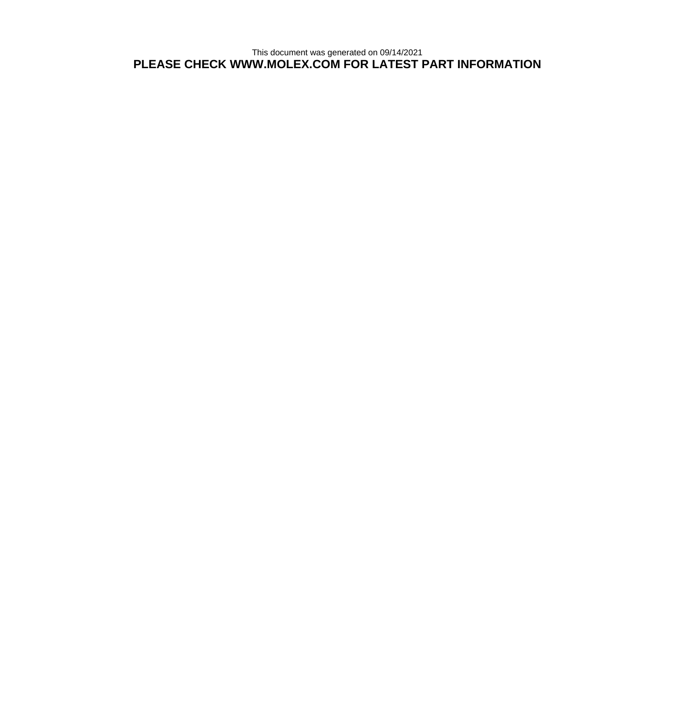This document was generated on 09/14/2021 **PLEASE CHECK WWW.MOLEX.COM FOR LATEST PART INFORMATION**